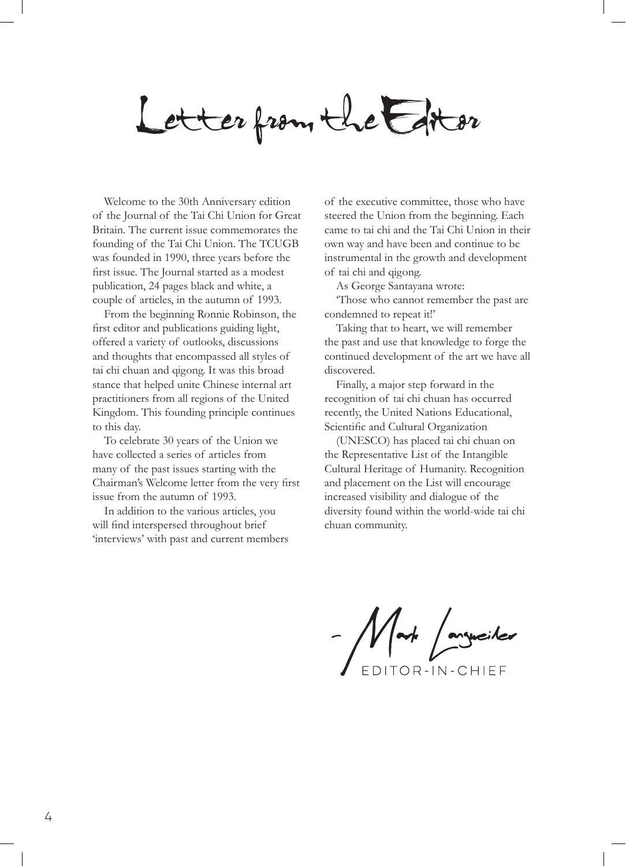Letter from the Estor

Welcome to the 30th Anniversary edition of the Journal of the Tai Chi Union for Great Britain. The current issue commemorates the founding of the Tai Chi Union. The TCUGB was founded in 1990, three years before the first issue. The Journal started as a modest publication, 24 pages black and white, a couple of articles, in the autumn of 1993.

From the beginning Ronnie Robinson, the first editor and publications guiding light, offered a variety of outlooks, discussions and thoughts that encompassed all styles of tai chi chuan and qigong. It was this broad stance that helped unite Chinese internal art practitioners from all regions of the United Kingdom. This founding principle continues to this day.

To celebrate 30 years of the Union we have collected a series of articles from many of the past issues starting with the Chairman's Welcome letter from the very first issue from the autumn of 1993.

In addition to the various articles, you will find interspersed throughout brief 'interviews' with past and current members of the executive committee, those who have steered the Union from the beginning. Each came to tai chi and the Tai Chi Union in their own way and have been and continue to be instrumental in the growth and development of tai chi and qigong.

As George Santayana wrote:

'Those who cannot remember the past are condemned to repeat it!'

Taking that to heart, we will remember the past and use that knowledge to forge the continued development of the art we have all discovered.

Finally, a major step forward in the recognition of tai chi chuan has occurred recently, the United Nations Educational, Scientific and Cultural Organization

(UNESCO) has placed tai chi chuan on the Representative List of the Intangible Cultural Heritage of Humanity. Recognition and placement on the List will encourage increased visibility and dialogue of the diversity found within the world-wide tai chi chuan community.

- Mart / argueiler

EDITOR-IN-CHIEF